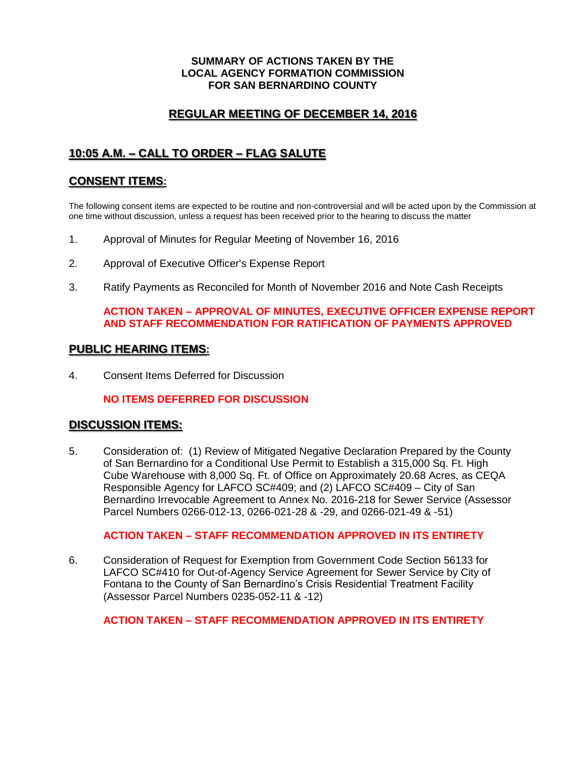#### **SUMMARY OF ACTIONS TAKEN BY THE LOCAL AGENCY FORMATION COMMISSION FOR SAN BERNARDINO COUNTY**

# **REGULAR MEETING OF DECEMBER 14, 2016**

# **10:05 A.M. – CALL TO ORDER – FLAG SALUTE**

## **CONSENT ITEMS:**

The following consent items are expected to be routine and non-controversial and will be acted upon by the Commission at one time without discussion, unless a request has been received prior to the hearing to discuss the matter

- 1. Approval of Minutes for Regular Meeting of November 16, 2016
- 2. Approval of Executive Officer's Expense Report
- 3. Ratify Payments as Reconciled for Month of November 2016 and Note Cash Receipts

## **ACTION TAKEN – APPROVAL OF MINUTES, EXECUTIVE OFFICER EXPENSE REPORT AND STAFF RECOMMENDATION FOR RATIFICATION OF PAYMENTS APPROVED**

#### **PUBLIC HEARING ITEMS:**

4. Consent Items Deferred for Discussion

## **NO ITEMS DEFERRED FOR DISCUSSION**

## **DISCUSSION ITEMS:**

5. Consideration of: (1) Review of Mitigated Negative Declaration Prepared by the County of San Bernardino for a Conditional Use Permit to Establish a 315,000 Sq. Ft. High Cube Warehouse with 8,000 Sq. Ft. of Office on Approximately 20.68 Acres, as CEQA Responsible Agency for LAFCO SC#409; and (2) LAFCO SC#409 – City of San Bernardino Irrevocable Agreement to Annex No. 2016-218 for Sewer Service (Assessor Parcel Numbers 0266-012-13, 0266-021-28 & -29, and 0266-021-49 & -51)

## **ACTION TAKEN – STAFF RECOMMENDATION APPROVED IN ITS ENTIRETY**

6. Consideration of Request for Exemption from Government Code Section 56133 for LAFCO SC#410 for Out-of-Agency Service Agreement for Sewer Service by City of Fontana to the County of San Bernardino's Crisis Residential Treatment Facility (Assessor Parcel Numbers 0235-052-11 & -12)

## **ACTION TAKEN – STAFF RECOMMENDATION APPROVED IN ITS ENTIRETY**